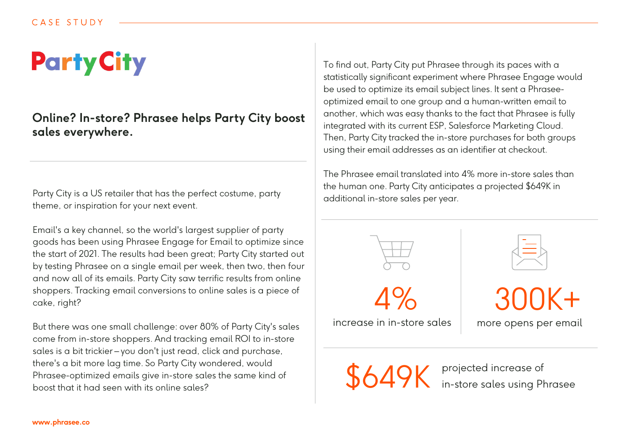## **Party City**

## **Online? In-store? Phrasee helps Party City boost sales everywhere.**

Party City is a US retailer that has the perfect costume, party theme, or inspiration for your next event.

Email's a key channel, so the world's largest supplier of party goods has been using Phrasee Engage for Email to optimize since the start of 2021. The results had been great; Party City started out by testing Phrasee on a single email per week, then two, then four and now all of its emails. Party City saw terrific results from online shoppers. Tracking email conversions to online sales is a piece of cake, right?

But there was one small challenge: over 80% of Party City's sales come from in-store shoppers. And tracking email ROI to in-store sales is a bit trickier – you don't just read, click and purchase, there's a bit more lag time. So Party City wondered, would Phrasee-optimized emails give in-store sales the same kind of boost that it had seen with its online sales?

To find out, Party City put Phrasee through its paces with a statistically significant experiment where Phrasee Engage would be used to optimize its email subject lines. It sent a Phraseeoptimized email to one group and a human-written email to another, which was easy thanks to the fact that Phrasee is fully integrated with its current ESP, Salesforce Marketing Cloud. Then, Party City tracked the in-store purchases for both groups using their email addresses as an identifier at checkout.

The Phrasee email translated into 4% more in-store sales than the human one. Party City anticipates a projected \$649K in additional in-store sales per year.



\$649K projected increase of in-store sales using Phrasee